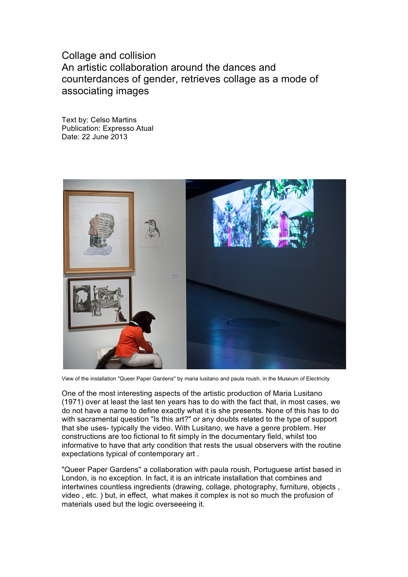## Collage and collision An artistic collaboration around the dances and counterdances of gender, retrieves collage as a mode of associating images

Text by: Celso Martins Publication: Expresso Atual Date: 22 June 2013



View of the installation "Queer Paper Gardens'' by maria lusitano and paula roush, in the Museum of Electricity

One of the most interesting aspects of the artistic production of Maria Lusitano (1971) over at least the last ten years has to do with the fact that, in most cases, we do not have a name to define exactly what it is she presents. None of this has to do with sacramental question "Is this art?" or any doubts related to the type of support that she uses- typically the video. With Lusitano, we have a genre problem. Her constructions are too fictional to fit simply in the documentary field, whilst too informative to have that arty condition that rests the usual observers with the routine expectations typical of contemporary art .

"Queer Paper Gardens'' a collaboration with paula roush, Portuguese artist based in London, is no exception. In fact, it is an intricate installation that combines and intertwines countless ingredients (drawing, collage, photography, furniture, objects , video , etc. ) but, in effect, what makes it complex is not so much the profusion of materials used but the logic overseeeing it.